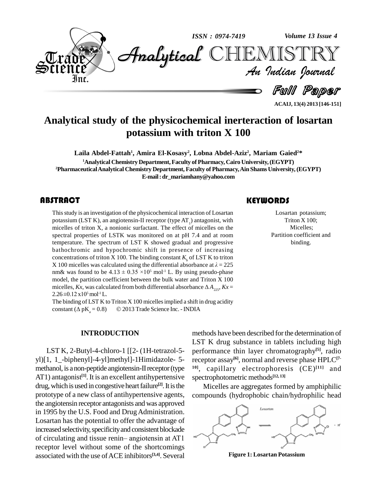

**ACAIJ, 13(4) 2013 [146-151]**

# **Analytical study of the physicochemical inerteraction of losartan potassium with triton X 100**

**Laila Abdel-Fattah 1 , Amira El-Kosasy 2 , Lobna Abdel-Aziz 2 , Mariam Gaied <sup>2</sup>\* <sup>1</sup>Analytical Chemistry Department,Faculty of Pharmacy, Cairo University,(EGYPT) <sup>2</sup>PharmaceuticalAnalytical Chemistry Department, Faculty of Pharmacy,Ain Shams University,(EGYPT) E-mail:[dr\\_mariamhany@yahoo.com](mailto:dr_mariamhany@yahoo.com)**

This study is an investiga<br>potassium (LST K), an a<br>micelles of triton X, a n This study is an investigation of the physicochemical interaction of Losartan potassium (LST K), an angiotensin-II receptor (type  $AT_1$ ) antagonist, with micelles of triton X, a nonionic surfactant. The effect of micelles on the spectral properties of LSTK was monitored on at pH 7.4 and at room temperature. The spectrum of LST K showed gradual and progressive bathochromic and hypochromic shift in presence of increasing concentrations of triton X 100. The binding constant  $K_{\text{b}}$  of LST K to triton bathochromic and hypochromic shift in presence of increasing<br>concentrations of triton X 100. The binding constant  $K_b$  of LST K to triton<br>X 100 micelles was calculated using the differential absorbance at  $\lambda = 225$ concentrations of triton X 100. The binding const<br>X 100 micelles was calculated using the different<br>nm& was found to be  $4.13 \pm 0.35 \times 10^5$  mol<sup>-1</sup> L.  $<sup>5</sup>$  mol<sup>-1</sup> L. By using pseudo-phase</sup> model, the partition coefficient between the bulk water and Triton X 100 nm& was found to be  $4.13 \pm 0.35 \times 10^5$  mol<sup>-1</sup> L. By using pseudo-phase model, the partition coefficient between the bulk water and Triton X 100 micelles, *Kx*, was calculated from both differential absorbance  $\Delta A_{225}$ model, the partition comicelles,  $Kx$ , was calcu<br>2.26±0.12 x10<sup>5</sup> mol<sup>-1</sup> L.  $5 \text{ mol}$ <sup>-1</sup> L.

The binding of LST K to Triton X 100 micelles implied a shift in drug acidity 2.26±0.12 x10<sup>5</sup> mol<sup>-1</sup> L.<br>The binding of LST K to Triton X 100 micelles implied a shift in drug acidity constant ( $\Delta pK_a = 0.8$ ) © 2013 Trade Science Inc. - INDIA

**INTRODUCTION**

LST K, 2-Butyl-4-chloro-1 [[2- (1H-tetrazol-5 yl)[1, 1\_-biphenyl]-4-yl]methyl]-1Himidazole- 5 methanol, is a non-peptide angiotensin-II receptor (type AT1) antagonist<sup>[1]</sup>. It is an excellent antihypertensive spectrol drug, which is used in congestive heart failure<sup>[2]</sup>. It is the M prototype of a new class of antihypertensive agents, the angiotensin receptor antagonists and was approved in 1995 by the U.S. Food and Drug Administration. Losartan has the potential to offer the advantage of increased selectivity, specificity and consistent blockade Losartan has the potential to offer the advantage of<br>increased selectivity, specificity and consistent blockade<br>of circulating and tissue renin—angiotensin at AT1 receptor level without some of the shortcomings associated with the use ofACE inhibitors **[3,4]**. Several

methods have been described for the determination of LST K drug substance in tablets including high performance thin layer chromatography **[5]**, radio receptor assay **[6]**, normal and reverse phase HPLC**[7- 10]**, capillary electrophoresis (CE) **[11]** and spectrophotometric methods **[12, 13]**

Micelles are aggregates formed by amphiphilic compounds (hydrophobic chain/hydrophilic head



**Figure 1: Losartan Potassium**

## **KEYWORDS**

Losartan potass<br>Triton X 100<br>Micelles; Losartan potassium; Triton X 100; Micelles; Partition coefficient and binding.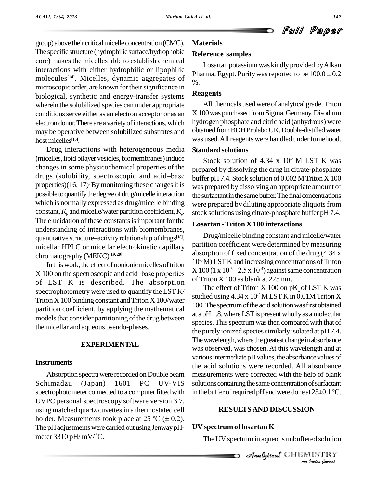group) above their critical micelle concentration (CMC). The specific structure (hydrophilic surface/hydrophobic core) makes the micelles able to establish chemical interactions with either hydrophilic or lipophilic molecules<sup>[14]</sup>. Micelles, dynamic aggregates of  $\frac{1}{\alpha}$ microscopic order, are known for their significance in biological, synthetic and energy-transfer systems wherein the solubilized species can under appropriate conditions serve either as an electron acceptor or as an electrondonor.There are avarietyofinteractions,which may be operative between solubilized substrates and hostmicelles **[15]**.

Drug interactions with heterogeneous media (micelles, lipid bilayer vesicles, biomembranes) induce changes in some physicochemical properties of the <sub>prena</sub> (micelles, lipid bilayer vesicles, biomembranes) induce<br>changes in some physicochemical properties of the<br>drugs (solubility, spectroscopic and acid—base<br>buffer properties)(16, 17) By monitoring these changes it is  $\sqrt{2}$ possible to quantify the degree of drug/micelle interaction which is normally expressed as drug/micelle binding constant,  $K_k$  and micelle/water partition coefficient,  $K_k$ . The elucidation of these constants is important for the<br>understanding of interactions with biomembranes,<br>quantitative structure–activity relationship of drugs<sup>[18]</sup>, understanding of interactions with biomembranes, quantitative structure-activity relationship of drugs<sup>[18]</sup>, micellar HPLC or micellar electrokinetic capillary chromatography (MEKC) **[19, 20]**.

In this work, the effect of nonionic micelles of triton  $\frac{10^{6} \text{N}}{1000}$ chromatography (MEKC)<sup>[19, 20]</sup><br>In this work, the effect of nonionic micelles of triton  $\begin{array}{c} 10^{-5}1 \\ X \neq 100 \text{ on the spectroscopic and acid-base properties} \end{array}$ of LST K is described. The absorption spectrophotometrywere used to quantify the LST K/ Triton  $X$  100 binding constant and Triton  $X$  100/water partition coefficient, by applying the mathematical models that consider partitioning of the drug between the micellar and aqueous pseudo-phases.

### **EXPERIMENTAL**

### **Instruments**

Absorption spectra were recorded on Double beam Schimadzu (Japan) 1601 PC UV-VIS spectrophotometer connected to a computer fitted with UVPC personal spectroscopy software version 3.7, using matched quartz cuvettes in a thermostated cell UVPC personal spectroscopy software version 3.7,<br>using matched quartz cuvettes in a thermostated cell<br>holder. Measurements took place at 25 °C ( $\pm$  0.2). The pH adjustments were carried out using Jenway pH-  $\quad$  UV meter 3310 pH/mV/ C.

## **Materials**

#### **Reference samples**

Losartan potassium was kindly provided by Alkan Pharma, Egypt. Purity was reported to be  $100.0 \pm 0.2$ %.

#### **Reagents**

All chemicals usedwere of analytical grade.Triton X100was purchased fromSigma,Germany.Disodium hydrogen phosphate and citric acid (anhydrous) were obtained from BDH Prolabo UK. Double-distilled water was used. All reagents were handled under fumehood.

### **Standard solutions**

. stock solutions using citrate-phosphate buffer pH 7.4. Stock solution of  $4.34 \times 10^{-4}$  M LST K was prepared by dissolving the drug in citrate-phosphate buffer pH 7.4. Stock solution of 0.002 MTriton X 100 was prepared by dissolving an appropriate amount of the surfactant in the same buffer. The final concentrations were prepared by diluting appropriate aliquots from

### **Losartan - Triton X 100 interactions**

Drug/micelle binding constant and micelle/water partition coefficient were determined by measuring absorption of fixed concentration of the drug (4.34 x 10 -5M)LSTK and increasing concentrations ofTriton  $X 100 (1 x 10<sup>5</sup> - 2.5 x 10<sup>4</sup>)$  against same concentration f fixed concentration<br> $X$  and increasing concentration of  $55-2.5 \times 10^{4}$  against of Triton X 100 as blank at 225 nm.

The effect of Triton  $X$  100 on  $pK$  of LST K was studied using  $4.34 \times 10^{5}$  M LST K in  $0.01$ M Triton X 100. The spectrum of the acid solution was first obtained at apH1.8,whereLSTis presentwhollyas amolecular species. This spectrum was then compared with that of the purely ionized species similarly isolated at pH 7.4. The wavelength, where the greatest change in absorbance was observed, was chosen.At this wavelength and at various intermediate pH values, the absorbance values of the acid solutions were recorded. All absorbance measurements were corrected with the help of blank solutions containing the same concentration of surfactant in the buffer of required pH and were done at  $25\pm0.1$  °C.

# $\overline{\text{RESULTS}}$  and discussion

## **UV spectrum of losartan K**

The UV spectrum in aqueous unbuffered solution

*I*<br>IISTRY<br>*Indian <sup>g</sup>ournal* **Analytical** CHEMISTRY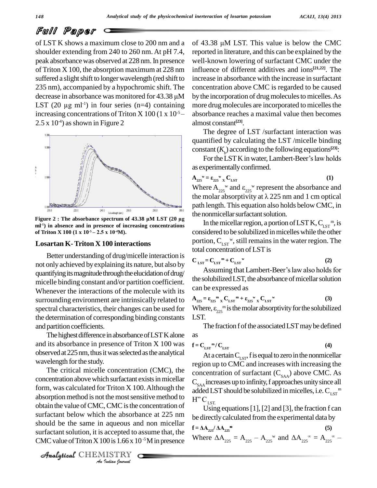# Full Paper

of LST K shows a maximum close to 200 nm and a shoulder extending from 240 to 260 nm. At pH 7.4, peak absorbancewas observed at 228 nm.In presence of Triton X 100, the absorption maximum at 228 nm suffered a slight shift to longer wavelength (red shift to 235 nm), accompanied by a hypochromic shift. The suffered a slight shift to longer wavelength (red shift to increase in absorbance by a hypochromic shift. The concentration decrease in absorbance was monitored for 43.38  $\mu$ M by the incorpor 235 nm), accompanie<br>decrease in absorbance<br>LST (20  $\mu$ g ml<sup>-1</sup>) in  $-1$ ) in four series (n=4) containing more d increasing concentrations of Triton X 100 (1 x  $10^{-5}$  –  $\begin{matrix} \n1M & b \\
mg & n \\
\end{matrix}$  $2.5 \times 10^{4}$ ) as shown in Figure 2



**ml -1) in absence and in presence of increasing concentrations of Triton X 100 (1 x 10 -4M).** ance spectrum of 4.<br> **n** presence of incres<br>  $-5-2.5 \times 10^{-4} M$ .

### **Losartan K-Triton X 100 interactions**

Better understanding of drug/micelle interaction is not only achieved by explaining its nature, but also by quantifying its magnitude through the elucidation of drug/ micelle binding constant and/or partition coefficient. Whenever the interactions of the molecule with its surrounding environment are intrinsically related to spectral characteristics, their changes can be used for the determination of corresponding binding constants and partition coefficients.

The highest difference in absorbance of LST K alone and its absorbance in presence of Triton X 100 was observed at 225 nm, thus it was selected as the analytical wavelength for the study.

 $\frac{40 \text{ rad}}{\text{pi}}$  below which the absorbance at 225 nm  $\frac{425 \text{ rad}}{\text{pi}}$ *I*, ence is the<br> *I* the absorba<br> *A* accepted to a<br> *I* and *I* and *I* and *I* and *I* and *I* and *I* and *I* and *I* and *I* and *I* and *I* and *I* and *I* and *I* and *I* and *I* and *I* and *I* and *I* and *I* and The critical micelle concentration (CMC), the concentration above which surfactant exists in micellar form, was calculated for Triton X 100.Although the absorption method is not the most sensitive method to obtain the value of CMC, CMC is the concentration of should be the same in aqueous and non micellar surfactant solution, it is accepted to assume that, the CMC value of Triton X 100 is  $1.66 \times 10^{-5}$ M in presence

CHEMISTRY

 absorbance reaches a maximal value then becomes of 43.38  $\mu$ M LST. This value is below the CMC reported in literature, and this can be explained by the well-known lowering of surfactant CMC under the influence of different additives and ions **[21,22]**. The increase in absorbance with the increase in surfactant concentration above CMC is regarded to be caused by the incorporation of drug molecules to micelles. As more drug molecules are incorporated to micelles the almost constant **[23]**.

The degree of LST /surfactant interaction was quantified by calculating the LST /micelle binding<br>constant  $(K_b)$  according to the following equations<sup>[23]</sup>:<br>For the LST K in water, Lambert-Beer's law holds constant  $(K_b)$  according to the following equations<sup>[23]</sup>:

as experimentally confirmed.<br> $A_{225}^{\text{w}} = \epsilon_{225}^{\text{w}}$  x  $C_{1ST}$ 

$$
\mathbf{A}_{225}^{\text{w}} = \varepsilon_{225}^{\text{w}} \mathbf{C}_{\text{LST}} \tag{1}
$$

as experimentally confirmed.<br>  $A_{225}^{\text{w}} = \varepsilon_{225}^{\text{w}}$  x  $C_{LST}$  (1)<br>
Where  $A_{225}^{\text{w}}$  and  $\varepsilon_{225}^{\text{w}}$  represent the absorbance and  $A_{225}^{\dagger} = \epsilon_{225}^{\dagger} {_{x}} C_{LST}$  (1)<br>Where  $A_{225}^{\dagger}$  and  $\epsilon_{225}^{\dagger}$  represent the absorbance and<br>the molar absorptivity at  $\lambda$  225 nm and 1 cm optical path length. This equation also holds below CMC, in the nonmicellar surfactant solution.

In the micellar region, a portion of LST K,  $C_{\text{IST}}^{m}$ , is considered to be solubilized inmicelleswhile the other portion,  $C_{LST}$ <sup>w</sup>, still remains in the water region. The total concentration ofLSTis

$$
C_{\text{LST}} = C_{\text{LST}}^{\text{m}} + C_{\text{LST}}^{\text{w}}
$$
 (2)

Assuming that Lambert-Beer's law also holds for the solubilized LST, the absorbance of micellar solution **Can be expressed as**<br> $A_{225} = \epsilon_{225}^{m} {X \atop K} C_{LST}^{m} + \epsilon_{225}^{m} {X \atop K} C_{LS}$ 

can be expressed as  
\n
$$
A_{225} = \epsilon_{225}{}^{m}{}_{x} C_{LST}{}^{m} + \epsilon_{225}{}^{w}{}_{x} C_{LST}{}^{w}
$$
\n(3)  
\nWhere,  $\epsilon_{225}{}^{m}$  is the molar absorptivity for the solubilized  
\nLST.

The fraction f of the associated LST may be defined as

**(4)**

$$
f = C_{\text{LST}}^{m} / C_{\text{LST}}
$$

At a certain  $C_{LST}$ , f is equal to zero in the nonmicellar region up to CMC and increases with increasing the concentration of surfactant  $(C_{\text{SAA}})$  above CMC. As  $C_{\rm SAA}$  increases up to infinity, f approaches unity since all added LST should be solubilized in micelles, i.e.  $C_{LST}$ <sup>m</sup><br>H<sup>?</sup>  $C_{LST}$ . Using equations [1], [2] and [3], the fraction f can

**be directly calculated from the experimental data by**  $\mathbf{f} = \Delta \mathbf{A}_{225} / \Delta \mathbf{A}_{225}$  **(5)** 

be directly calculated from the experimental data by  
\n
$$
f = \Delta A_{225} / \Delta A_{225}^{\bullet}
$$
\n(5)  
\nWhere  $\Delta A_{225} = A_{225} - A_{225}^{\bullet}$  and  $\Delta A_{225}^{\bullet} = A_{225}^{\bullet} - A_{225}^{\bullet}$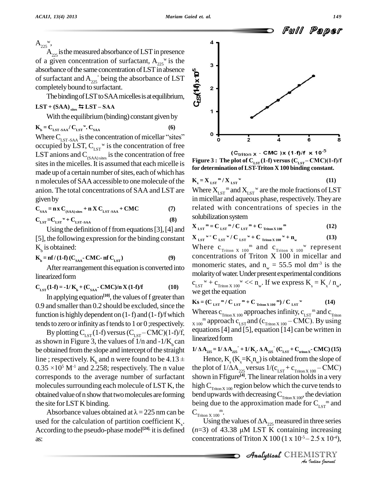$A_{225}$ <sup>w</sup>  $A_{225}$  is the measured absorbance of LST in presence of a given concentration of surfactant,  $A_{225}$ <sup>w</sup> is the absorbance of the same concentration of LST in absence of surfactant and  $A_{225}$  being the absorbance of LST completely bound to surfactant.

The binding of LST to SAA micelles is at equilibrium,  $LST + (SAA)_{\text{sites}} \equiv LST - SAA$ 

With the equilibrium (binding) constant given by

$$
\mathbf{K}_{\mathbf{b}} = \mathbf{C}_{\mathbf{LST-SAA}} / \mathbf{C}_{\mathbf{LST}}^{\mathbf{w}} \cdot \mathbf{C}_{\mathbf{SAA}} \tag{6}
$$

Where  $C_{LST-SAA}$  is the concentration of micellar "sites" occupied by LST,  $C_{\text{LST}}$ <sup>w</sup> is the concentration of free LST anions and  $C_{(SAA) \text{ sites}}$  is the concentration of free sites in the micelles. It is assumed that each micelle is made up of a certain number of sites, each of which has n molecules of SAA accessible to one molecule of the anion. The total concentrations of SAA and LST are given by

$$
C_{SAA} = n \times C_{(SAA) sites} + n \times C_{LST-SAA} + CMC
$$
\n(7)  
\n
$$
C_{LST} = C_{LST}^{\text{w}} + C_{LST-SAA}
$$
\n(8)

Using the definition of f from equations  $[3]$ ,  $[4]$  and [5], the following expression for the binding constant  $K<sub>b</sub>$  is obtained:

$$
\mathbf{K}_{\mathsf{b}} = \mathbf{nf}/\left(\mathbf{1}\cdot\mathbf{f}\right)\left(\mathbf{C}_{\mathsf{S}\mathsf{A}\mathsf{A}}\cdot\mathbf{CMC}\cdot\mathbf{nf}\,\mathbf{C}_{\mathsf{LST}}\right) \tag{9}
$$

After rearrangement this equation is converted into linearized form

$$
C_{LST}(1-f) = -1/K_b + (C_{SAA} - CMC)/n X (1-f)/f
$$
 (10)

In applying equation<sup>[10]</sup>, the values of f greater than 0.9 and smaller than 0.2 should be excluded, since the function is highly dependent on  $(1-f)$  and  $(1-f)/f$  which tends to zero or infinity as f tends to 1 or 0; respectively.

By plotting  $C_{LST}(1-f)$  versus  $(C_{LST} - CMC)(1-f)/f$ , as shown in Figure 3, the values of  $1/n$  and  $-1/K_{k}$  can be obtained from the slope and intercept of the straight line ; respectively.  $K<sub>k</sub>$  and n were found to be 4.13  $\pm$  $0.35 \times 10^5$  M<sup>-1</sup> and 2.258; respectively. The n value corresponds to the average number of surfactant molecules surrounding each molecule of LST K, the obtained value of n show that two molecules are forming the site for LST K binding.

Absorbance values obtained at  $\lambda = 225$  nm can be used for the calculation of partition coefficient  $K_{\gamma}$ . According to the pseudo-phase model<sup>[24]</sup>, it is defined as:



(C<sub>triton</sub> x - CMC )x (1-f)/f x 10<sup>-5</sup> Figure 3 : The plot of  $C_{LST}(1-f)$  versus  $(C_{LST} - CMC)(1-f)/f$ for determination of LST-Triton X 100 binding constant.

$$
\mathbf{K}_{\mathbf{x}} = \mathbf{X}_{\mathbf{LST}}{}^{\mathbf{m}} / \mathbf{X}_{\mathbf{LST}}{}^{\mathbf{w}} \tag{11}
$$

Where  $X_{\text{LST}}$ <sup>m</sup> and  $X_{\text{LST}}$ <sup>w</sup> are the mole fractions of LST in micellar and aqueous phase, respectively. They are related with concentrations of species in the solubilization system

$$
\mathbf{X}_{\text{LST}}^{\text{m}} = \mathbf{C}_{\text{LST}}^{\text{m}} / \mathbf{C}_{\text{LST}}^{\text{m}} + \mathbf{C}_{\text{Triton X 100}}^{\text{m}} \tag{12}
$$

$$
\mathbf{X}_{\text{LST}}^{\text{w} = \mathbf{C}_{\text{LST}}^{\text{w}} / \mathbf{C}_{\text{LST}}^{\text{w} + \mathbf{C}_{\text{Triton X 100}}^{\text{w}}} + \mathbf{n}_{\text{w}}
$$
(13)

Where  $c_{\text{Triton X 100}}$  and  $c_{\text{Triton X 100}}$  represent concentrations of Triton X 100 in micellar and monomeric states, and  $n_w = 55.5$  mol dm<sup>-3</sup> is the molarity of water. Under present experimental conditions  $c_{LST}^{\quad w} + c_{Triton X 100}^{\quad w} \ll n_w$ . If we express  $K_s = K_x / n_w$ , we get the equation

$$
\mathbf{K}\mathbf{s} = (\mathbf{C}_{\text{LST}}^{\text{m}} / \mathbf{C}_{\text{LST}}^{\text{m}} + \mathbf{C}_{\text{Triton X 100}}^{\text{m}}) / \mathbf{C}_{\text{LST}}^{\text{w}}
$$
(14)

Whereas  $c_{\text{Triton X 100}}$  approaches infinity,  $c_{\text{LST}}$ <sup>m</sup> and  $c_{\text{Triton}}$  $_{\text{X 100}}$ <sup>m</sup> approach c<sub>LST</sub> and (c<sub>Triton X 100</sub> – CMC). By using equations [4] and [5], equation [14] can be written in linearized form

$$
1/\Delta A_{225} = 1/\Delta A_{225}^{\text{}} + 1/\text{K}_{\text{s}} \cdot \Delta A_{225}^{\text{}} (C_{LST}^{\text{}} + C_{\text{triton X}}^{\text{}} - CMC) (15)
$$

Hence,  $K_{\rm g}$  ( $K_{\rm g} = K_{\rm g} n_{\rm g}$ ) is obtained from the slope of the plot of  $1/\Delta A_{225}$  versus  $1/(c_{LST} + c_{Triton X 100} - CMC)$ shown in Ffigure<sup>[4]</sup>. The linear relation holds in a very high  $C_{\text{Triton X 100}}$  region below which the curve tends to bend upwards with decreasing  $C_{\text{Trion X 100}}$ , the deviation being due to the approximation made for  $C_{\text{r}}$ <sub>sr</sub><sup>m</sup> and  $C_{\text{Triton X 100}}^{\text{m}}$ .

Using the values of  $\Delta A_{225}$  measured in three series  $(n=3)$  of 43.38 µM LST K containing increasing concentrations of Triton X 100 (1 x  $10^{-5}$  – 2.5 x 10<sup>-4</sup>),

> Analytical CHEMISTRY An Indian Journal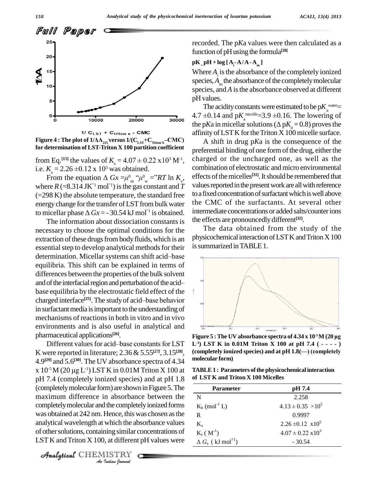

**for determination of LST-Triton X 100partition coefficient**

Figure 4 : The plot of  $1/\Delta A_{225}$  versus  $1/(\text{C}_{15T} + \text{C}_{\text{Triton X}} - \text{CMC})$ <br>for determination of LST-Triton X 100 partition coefficient<br>from Eq.<sup>[15]</sup> the values of  $K_s = 4.07 \pm 0.22 \text{ x} 10^3 \text{ M}^{-1}$ , from Eq.<sup>[15]</sup> the values of  $K_s = 4.0$ <br>i.e.  $K_x = 2.26 \pm 0.12 \times 10^5$  was obta i.e.  $K_r = 2.26 \pm 0.12 \times 10^5$  was obtained. im Eq.<sup>[15]</sup> the values of  $K_s = 4.07 \pm 0.22$ <br> $K_x = 2.26 \pm 0.12 \times 10^5$  was obtained.<br>From the equation  $\Delta Gx = \mu^0{}_{\!\!\text{m}}^{\!\!\text{}}\,^{\!\!\text{}}/\mu^0{}_{\!\!\text{w}} =$  $0.22 \times 10^{3} \text{ M}^{1}$ , channotatined.<br>  $0 \text{ cm}^{0} \text{ m}^{0} \text{ m}^{0} = \text{R}^{2} \text{ R}^{1}$  in  $K_{x}$ , eff

From the equation  $\triangle Gx$  =<br>where  $R$  (=8.314 JK<sup>°</sup><sup>1</sup> mol<sup>°1</sup>) is t where  $R$  (=8.314 JK<sup>-1</sup> mol<sup>-1</sup>) is the gas constant and *T*  $(=298 \text{ K})$  the absolute temperature, the standard free energy change for the transfer of LST from bulk water the (=298 K) the absolute temperature, the standard free to<br>energy change for the transfer of LST from bulk water th<br>to micellar phase  $\Delta Gx = -30.54 \text{ kJ} \text{ mol}^{\text{T}}$  is obtained.

The information about dissociation constants is necessary to choose the optimal conditions for the extraction of these drugs from body fluids, which is an essential step to develop analytical methods for their 1s su extraction of these drugs from body fluids, which is an<br>essential step to develop analytical methods for their is sum<br>determination. Micellar systems can shift acid–base equilibria. This shift can be explained in terms of differences between the properties of the bulk solvent equilibria. This shift can be explained in terms of<br>differences between the properties of the bulk solvent<br>and of the interfacial region and perturbation of the acid base equilibria by the electrostatic field effect of the charged interface<sup>[25]</sup>. The study of acid-base behavior al region and perturbation of the acid—<br>y the electrostatic field effect of the<br><sup>[25]</sup>. The study of acid—base behavior in surfactant media is important to the understanding of mechanisms of reactions in both in vitro and in vivo environments and is also useful in analytical and<br>
pharmaceutical applications<sup>[26]</sup>.<br>
Different values for acid—base constants for LST L<sup>-1</sup>) LST pharmaceutical applications **[26]**.

 $\frac{A_{\text{B}}}{A_{\text{B}}}$  and  $\frac{A_{\text{B}}}{A_{\text{B}}}$  and  $\frac{A_{\text{B}}}{A_{\text{B}}}$  contract forms  $A_{\text{B}}$  and  $A_{\text{B}}$  and  $\frac{A_{\text{B}}}{A_{\text{B}}}$  and  $\frac{A_{\text{B}}}{A_{\text{B}}}$  and  $\frac{A_{\text{B}}}{A_{\text{B}}}$  and  $\frac{A_{\text{B}}}{A_{\text{B}}}$  and  $\frac{A_{\$ *I* Hence, this we<br>**Indian** commission in the above of the above of the set of the *ISTRY*<br>*ISTRY* K were reported in literature;  $2.36 \& 5.55^{[27]}, 3.15^{[28]},$  (con<br>4.9<sup>[29]</sup> and 5.6<sup>[30]</sup>. The UV absorbance spectra of 4.34 mole<br>x 10<sup>-5</sup>M (20 µg L<sup>-1</sup>) LST K in 0.01M Triton X 100 at TAB 4.9<sup>[29]</sup> and 5.6<sup>[30]</sup>. The UV absorbance spectra of 4.34 molecul x  $10^{-5}$  M  $(20 \mu g L^{-1})$  LST K in 0.01 M Triton X 100 at TABI pH 7.4 (completely ionized species) and at pH 1.8 (completely molecular form) are shown in Figure 5. The maximum difference in absorbance between the completely molecular and the completely ionized forms analytical wavelength at which the absorbance values of othersolutions, containing similar concentrations of LST K and Triton  $X$  100, at different pH values were

CHEMISTRY

recorded. The p*K*a values were then calculated as a function of pHusing the formula **[28]**

### $pK_{p}H + \log[A_{i} - A/A - A_{m}]$

Where *A*<sub>i</sub> is the absorbance of the completely ionized  $species, A<sub>m</sub>$  the absorbance of the completely molecular species, and *A* is the absorbance observed at different pHvalues.

The acidity constants were estimated to be  $pK_{a}^{\text{water}}=$ pH values.<br>The acidity constants were estimated to be  $pK_a^{\text{water}}$ <br>4.7  $\pm$ 0.14 and  $pK_a^{\text{ micelle}}$  = 3.9  $\pm$ 0.16. The lowering of The acidity constants were estimated to be p $K_a^{\text{water}}$ <br>4.7 ±0.14 and p $K_a^{\text{micelle}}$ =3.9 ±0.16. The lowering of<br>the p*Ka* in micellar solutions ( $\Delta pK_a$  = 0.8) proves the affinity ofLSTK fortheTriton X100micelle surface. **Figure 4** : The plot of  $1/\Delta A_{.25}$  versus  $1/(C_{LST} + C_{\text{triton}} x - CMC)$  and  $C_{LST}$  and  $C_{LST}$  **c**  $A$  shift in drug pKa is the consequence of the

, charged or the uncharged one, as well as the effects of the micelles<sup>[31]</sup>. It should be remembered that A shift in drug p*K*a is the consequence of the preferential binding of one form of the drug, either the combination of electrostatic andmicro environmental values reported in the present work are all with reference to a fixed concentration of surfactant which is well above the CMC of the surfactants. At several other intermediate concentrations or added salts/counterions the effects are pronouncedlydifferent **[32]**.

The data obtained from the study of the physicochemical interaction of LST K and Triton X 100 issummarized inTABLE1.



**L -1) LST K in 0.01M Triton X 100 atpH 7.4 ( - - - - ) figure 5 : The UV absorbance spectra of 4.34 x 10<sup>.5</sup>M (20 µg<br>L<sup>-1</sup>) LST K in 0.01M Triton X 100 at pH 7.4 ( - - - - )<br>(completely ionized species) and at pH 1.8(—) (completely molecular form)**

 $TABLE1: Parameters of the physical interaction$ **of LST K and Triton X 100 Micelles**

| <b>Parameter</b>                     | pH 7.4                      |
|--------------------------------------|-----------------------------|
| N                                    | 2.258                       |
| $K_b$ (mol <sup>-1</sup> L)          | $4.13 \pm 0.35 \times 10^5$ |
| R                                    | 0.9997                      |
| $K_{v}$                              | $2.26 \pm 0.12 \times 10^5$ |
| $K_{s}$ ( $M^{-1}$ )                 | $4.07 \pm 0.22 \times 10^3$ |
| $\Delta G_x$ (kJ mol <sup>?1</sup> ) | $-30.54$                    |